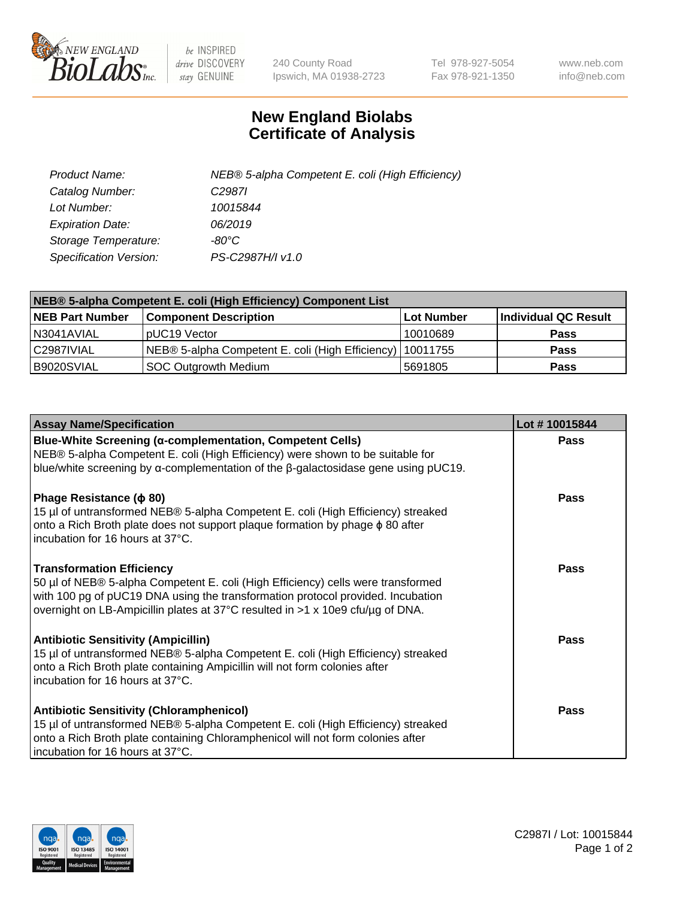

 $be$  INSPIRED drive DISCOVERY stay GENUINE

240 County Road Ipswich, MA 01938-2723 Tel 978-927-5054 Fax 978-921-1350 www.neb.com info@neb.com

## **New England Biolabs Certificate of Analysis**

| Product Name:           | NEB® 5-alpha Competent E. coli (High Efficiency) |
|-------------------------|--------------------------------------------------|
| Catalog Number:         | C <sub>2987</sub>                                |
| Lot Number:             | 10015844                                         |
| <b>Expiration Date:</b> | 06/2019                                          |
| Storage Temperature:    | -80°C                                            |
| Specification Version:  | PS-C2987H/I v1.0                                 |

| NEB® 5-alpha Competent E. coli (High Efficiency) Component List |                                                  |            |                      |  |
|-----------------------------------------------------------------|--------------------------------------------------|------------|----------------------|--|
| <b>NEB Part Number</b>                                          | <b>Component Description</b>                     | Lot Number | Individual QC Result |  |
| N3041AVIAL                                                      | pUC19 Vector                                     | 10010689   | <b>Pass</b>          |  |
| C2987IVIAL                                                      | NEB® 5-alpha Competent E. coli (High Efficiency) | 10011755   | <b>Pass</b>          |  |
| B9020SVIAL                                                      | <b>SOC Outgrowth Medium</b>                      | 5691805    | <b>Pass</b>          |  |

| <b>Assay Name/Specification</b>                                                                                                                                                                                                                                                           | Lot #10015844 |
|-------------------------------------------------------------------------------------------------------------------------------------------------------------------------------------------------------------------------------------------------------------------------------------------|---------------|
| Blue-White Screening (α-complementation, Competent Cells)<br>NEB® 5-alpha Competent E. coli (High Efficiency) were shown to be suitable for<br>blue/white screening by $\alpha$ -complementation of the $\beta$ -galactosidase gene using pUC19.                                          | <b>Pass</b>   |
| Phage Resistance ( $\phi$ 80)<br>15 µl of untransformed NEB® 5-alpha Competent E. coli (High Efficiency) streaked<br>onto a Rich Broth plate does not support plaque formation by phage $\phi$ 80 after<br>incubation for 16 hours at 37°C.                                               | <b>Pass</b>   |
| <b>Transformation Efficiency</b><br>50 µl of NEB® 5-alpha Competent E. coli (High Efficiency) cells were transformed<br>with 100 pg of pUC19 DNA using the transformation protocol provided. Incubation<br>overnight on LB-Ampicillin plates at 37°C resulted in >1 x 10e9 cfu/µg of DNA. | Pass          |
| <b>Antibiotic Sensitivity (Ampicillin)</b><br>15 µl of untransformed NEB® 5-alpha Competent E. coli (High Efficiency) streaked<br>onto a Rich Broth plate containing Ampicillin will not form colonies after<br>incubation for 16 hours at 37°C.                                          | Pass          |
| <b>Antibiotic Sensitivity (Chloramphenicol)</b><br>15 µl of untransformed NEB® 5-alpha Competent E. coli (High Efficiency) streaked<br>onto a Rich Broth plate containing Chloramphenicol will not form colonies after<br>incubation for 16 hours at 37°C.                                | Pass          |